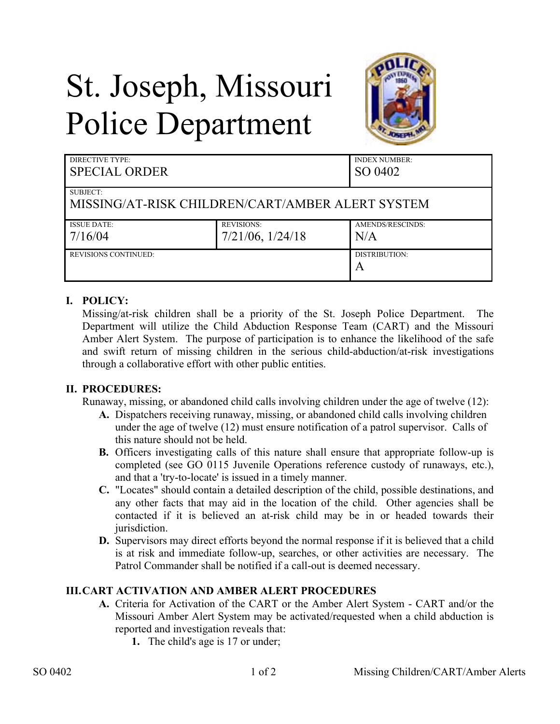## St. Joseph, Missouri Police Department



| DIRECTIVE TYPE:<br><b>SPECIAL ORDER</b>          |                       | <b>INDEX NUMBER:</b><br>SO 0402 |
|--------------------------------------------------|-----------------------|---------------------------------|
| SUBJECT:                                         |                       |                                 |
| MISSING/AT-RISK CHILDREN/CART/AMBER ALERT SYSTEM |                       |                                 |
| <b>ISSUE DATE:</b>                               | <b>REVISIONS:</b>     | AMENDS/RESCINDS:                |
| 7/16/04                                          | $7/21/06$ , $1/24/18$ | N/A                             |
| REVISIONS CONTINUED:                             |                       | DISTRIBUTION:                   |
|                                                  |                       | A                               |

## **I. POLICY:**

Missing/at-risk children shall be a priority of the St. Joseph Police Department. The Department will utilize the Child Abduction Response Team (CART) and the Missouri Amber Alert System. The purpose of participation is to enhance the likelihood of the safe and swift return of missing children in the serious child-abduction/at-risk investigations through a collaborative effort with other public entities.

## **II. PROCEDURES:**

Runaway, missing, or abandoned child calls involving children under the age of twelve (12):

- **A.** Dispatchers receiving runaway, missing, or abandoned child calls involving children under the age of twelve (12) must ensure notification of a patrol supervisor. Calls of this nature should not be held.
- **B.** Officers investigating calls of this nature shall ensure that appropriate follow-up is completed (see GO 0115 Juvenile Operations reference custody of runaways, etc.), and that a 'try-to-locate' is issued in a timely manner.
- **C.** "Locates" should contain a detailed description of the child, possible destinations, and any other facts that may aid in the location of the child. Other agencies shall be contacted if it is believed an at-risk child may be in or headed towards their jurisdiction.
- **D.** Supervisors may direct efforts beyond the normal response if it is believed that a child is at risk and immediate follow-up, searches, or other activities are necessary. The Patrol Commander shall be notified if a call-out is deemed necessary.

## **III.CART ACTIVATION AND AMBER ALERT PROCEDURES**

- **A.** Criteria for Activation of the CART or the Amber Alert System CART and/or the Missouri Amber Alert System may be activated/requested when a child abduction is reported and investigation reveals that:
	- **1.** The child's age is 17 or under;